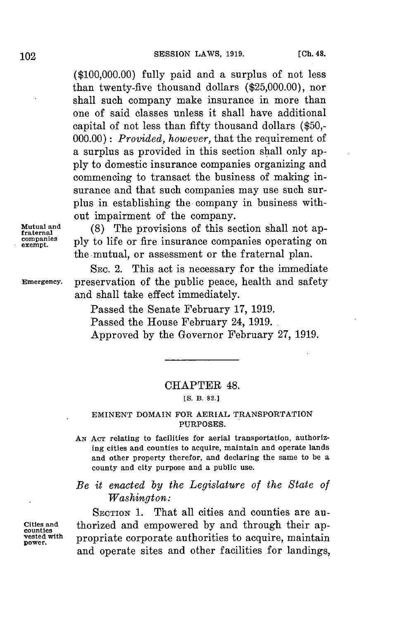**(\$100,000.00)** fully paid and a surplus of not less than twenty-five thousand dollars **(\$25,000.00),** nor shall such company make insurance in more than one of said classes unless it shall have additional capital of not less than fifty thousand dollars **(\$50,- 000.00)** *: Provided, however,* that the requirement of a surplus as provided in this section shall only ap**ply** to domestic insurance companies organizing and commencing to transact the business of making insurance and that such companies may use such surplus in establishing the company in business without impairment of the company.

**Mutual and** (8) The provisions of this section shall not ap-<br>reaternal pompanies ply to life or fire insurance companies operating on **examples** ply to life or fire insurance companies operating on the mutual, or assessment or the fraternal plan.

SEC. 2. This act is necessary for the immediate **Emergency.** preservation of the public peace, health and safety and shall take effect immediately.

> Passed the Senate February **17, 1919.** Passed the House February 24, **1919.** Approved **by** the Governor February **27, 1919.**

### CHAPTER 48.

**[S. B. 82.]**

#### **EMINENT DOMAIN FOR AERIAL TRANSPORTATION PURPOSES.**

**AN ACT** relating to facilities for aerial transportation, authorizing cities and counties to acquire, maintain and operate lands and other property therefor, and declaring the same to be a county and city purpose and a public use.

## *Be it enacted by the Legislature of the State of Washington:*

SECTION **1.** That all cities and counties are au-**Cities and** thorized and empowered **by** and through their ap- **counties power propriate** corporate authorities to acquire, maintain and operate sites and other facilities for landings,